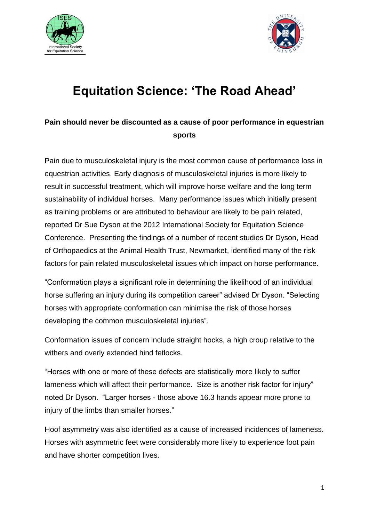



## **Equitation Science: 'The Road Ahead'**

## **Pain should never be discounted as a cause of poor performance in equestrian sports**

Pain due to musculoskeletal injury is the most common cause of performance loss in equestrian activities. Early diagnosis of musculoskeletal injuries is more likely to result in successful treatment, which will improve horse welfare and the long term sustainability of individual horses. Many performance issues which initially present as training problems or are attributed to behaviour are likely to be pain related, reported Dr Sue Dyson at the 2012 International Society for Equitation Science Conference. Presenting the findings of a number of recent studies Dr Dyson, Head of Orthopaedics at the Animal Health Trust, Newmarket, identified many of the risk factors for pain related musculoskeletal issues which impact on horse performance.

"Conformation plays a significant role in determining the likelihood of an individual horse suffering an injury during its competition career" advised Dr Dyson. "Selecting horses with appropriate conformation can minimise the risk of those horses developing the common musculoskeletal injuries".

Conformation issues of concern include straight hocks, a high croup relative to the withers and overly extended hind fetlocks.

"Horses with one or more of these defects are statistically more likely to suffer lameness which will affect their performance. Size is another risk factor for injury" noted Dr Dyson. "Larger horses - those above 16.3 hands appear more prone to injury of the limbs than smaller horses."

Hoof asymmetry was also identified as a cause of increased incidences of lameness. Horses with asymmetric feet were considerably more likely to experience foot pain and have shorter competition lives.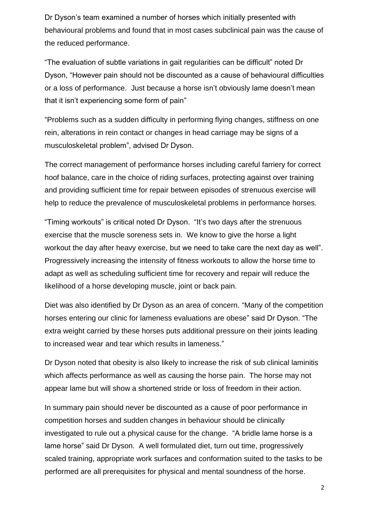Dr Dyson's team examined a number of horses which initially presented with behavioural problems and found that in most cases subclinical pain was the cause of the reduced performance.

"The evaluation of subtle variations in gait regularities can be difficult" noted Dr Dyson, "However pain should not be discounted as a cause of behavioural difficulties or a loss of performance. Just because a horse isn't obviously lame doesn't mean that it isn't experiencing some form of pain"

"Problems such as a sudden difficulty in performing flying changes, stiffness on one rein, alterations in rein contact or changes in head carriage may be signs of a musculoskeletal problem", advised Dr Dyson.

The correct management of performance horses including careful farriery for correct hoof balance, care in the choice of riding surfaces, protecting against over training and providing sufficient time for repair between episodes of strenuous exercise will help to reduce the prevalence of musculoskeletal problems in performance horses.

"Timing workouts" is critical noted Dr Dyson. "It's two days after the strenuous exercise that the muscle soreness sets in. We know to give the horse a light workout the day after heavy exercise, but we need to take care the next day as well". Progressively increasing the intensity of fitness workouts to allow the horse time to adapt as well as scheduling sufficient time for recovery and repair will reduce the likelihood of a horse developing muscle, joint or back pain.

Diet was also identified by Dr Dyson as an area of concern. "Many of the competition horses entering our clinic for lameness evaluations are obese" said Dr Dyson. "The extra weight carried by these horses puts additional pressure on their joints leading to increased wear and tear which results in lameness."

Dr Dyson noted that obesity is also likely to increase the risk of sub clinical laminitis which affects performance as well as causing the horse pain. The horse may not appear lame but will show a shortened stride or loss of freedom in their action.

In summary pain should never be discounted as a cause of poor performance in competition horses and sudden changes in behaviour should be clinically investigated to rule out a physical cause for the change. "A bridle lame horse is a lame horse" said Dr Dyson. A well formulated diet, turn out time, progressively scaled training, appropriate work surfaces and conformation suited to the tasks to be performed are all prerequisites for physical and mental soundness of the horse.